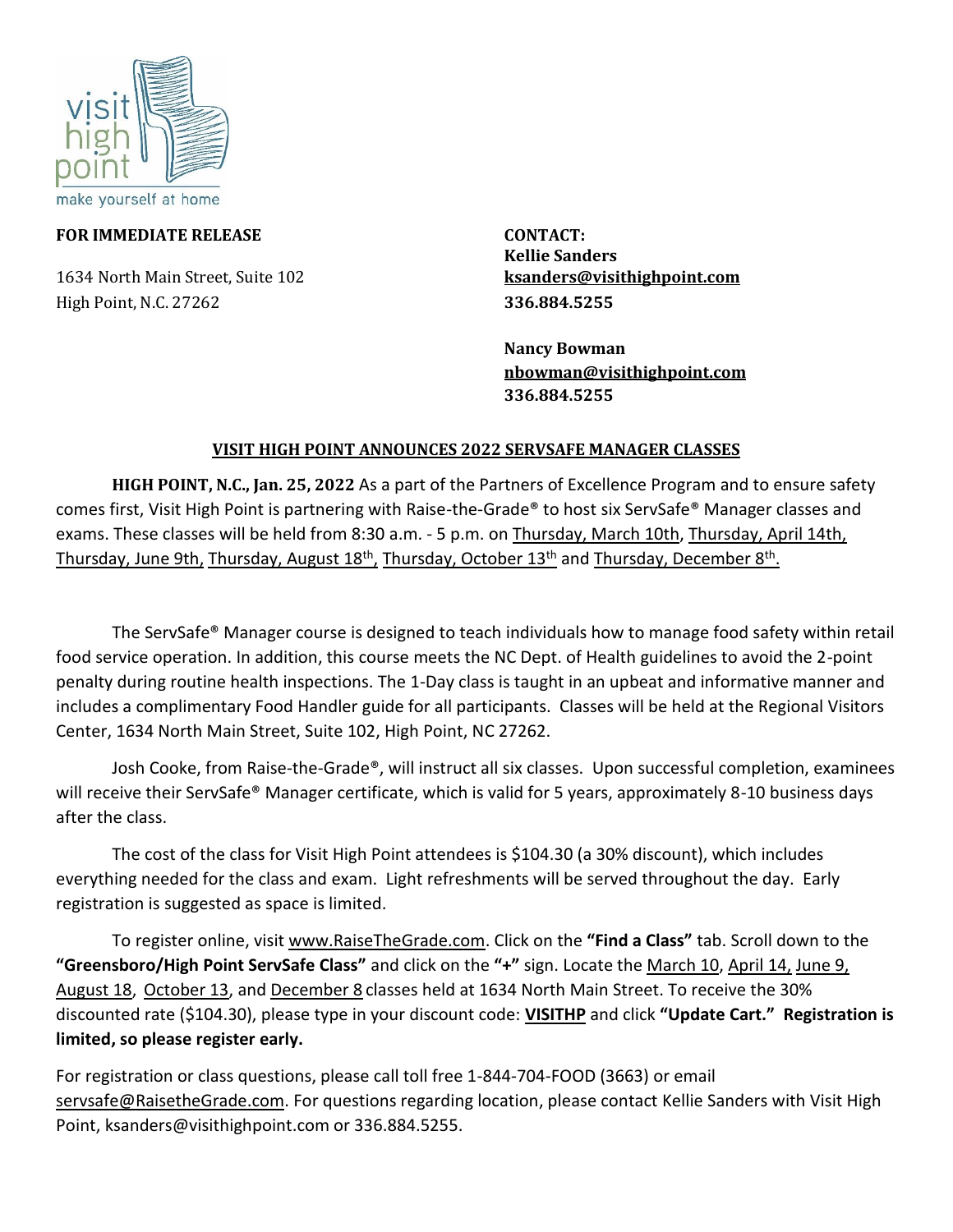

#### **FOR IMMEDIATE RELEASE CONTACT:**

1634 North Main Street, Suite 102 **[ksanders@visithighpoint.com](mailto:ksanders@visithighpoint.com)** High Point, N.C. 27262 **336.884.5255**

 **Kellie Sanders** 

**Nancy Bowman [nbowman@visithighpoint.com](mailto:nbowman@visithighpoint.com) 336.884.5255** 

#### **VISIT HIGH POINT ANNOUNCES 2022 SERVSAFE MANAGER CLASSES**

**HIGH POINT, N.C., Jan. 25, 2022** As a part of the Partners of Excellence Program and to ensure safety comes first, Visit High Point is partnering with Raise-the-Grade® to host six ServSafe® Manager classes and exams. These classes will be held from 8:30 a.m. - 5 p.m. on [Thursday, March 10th,](https://www.raisethegrade.com/servsafe-classes/event/4002/3/10--High-Point-ServSafe-Class-+-Exam) [Thursday, April 14th,](https://www.raisethegrade.com/servsafe-classes/event/4003/4/14--High-Point-ServSafe-Class-+-Exam) [Thursday, June 9th,](https://www.raisethegrade.com/servsafe-classes/event/4004/6/9--High-Point-ServSafe-Class-+-Exam) [Thursday, August 18](https://www.raisethegrade.com/servsafe-classes/event/4005/8/18--High-Point-ServSafe-Class-+-Exam)<sup>th</sup>, [Thursday, October 13](https://www.raisethegrade.com/servsafe-classes/event/4006/10/13--High-Point-ServSafe-Class-+-Exam)<sup>th</sup> and [Thursday, December 8](https://www.raisethegrade.com/servsafe-classes/event/4007/12/8--High-Point-ServSafe-Class-+-Exam)<sup>th</sup>.

The ServSafe® Manager course is designed to teach individuals how to manage food safety within retail food service operation. In addition, this course meets the NC Dept. of Health guidelines to avoid the 2-point penalty during routine health inspections. The 1-Day class is taught in an upbeat and informative manner and includes a complimentary Food Handler guide for all participants. Classes will be held at the Regional Visitors Center, 1634 North Main Street, Suite 102, High Point, NC 27262.

Josh Cooke, from Raise-the-Grade®, will instruct all six classes. Upon successful completion, examinees will receive their ServSafe® Manager certificate, which is valid for 5 years, approximately 8-10 business days after the class.

The cost of the class for Visit High Point attendees is \$104.30 (a 30% discount), which includes everything needed for the class and exam. Light refreshments will be served throughout the day. Early registration is suggested as space is limited.

To register online, visit [www.RaiseTheGrade.com.](http://www.raisethegrade.com/) Click on the **"Find a Class"** tab. Scroll down to the **"Greensboro/High Point ServSafe Class"** and click on the **"+"** sign. Locate th[e March 10,](https://www.raisethegrade.com/servsafe-classes/event/4002/3/10--High-Point-ServSafe-Class-+-Exam) [April 14,](https://www.raisethegrade.com/servsafe-classes/event/4003/4/14--High-Point-ServSafe-Class-+-Exam) [June 9,](https://www.raisethegrade.com/servsafe-classes/event/4004/6/9--High-Point-ServSafe-Class-+-Exam) [August 18,](https://www.raisethegrade.com/servsafe-classes/event/4005/8/18--High-Point-ServSafe-Class-+-Exam) [October 13,](https://www.raisethegrade.com/servsafe-classes/event/4006/10/13--High-Point-ServSafe-Class-+-Exam) and [December 8](https://www.raisethegrade.com/servsafe-classes/event/4007/12/8--High-Point-ServSafe-Class-+-Exam) classes held at 1634 North Main Street. To receive the 30% discounted rate (\$104.30), please type in your discount code: **VISITHP** and click **"Update Cart." Registration is limited, so please register early.**

For registration or class questions, please call toll free 1-844-704-FOOD (3663) or email [servsafe@RaisetheGrade.com.](mailto:servsafe@RaisetheGrade.com) For questions regarding location, please contact Kellie Sanders with Visit High Point, ksanders@visithighpoint.com or 336.884.5255.